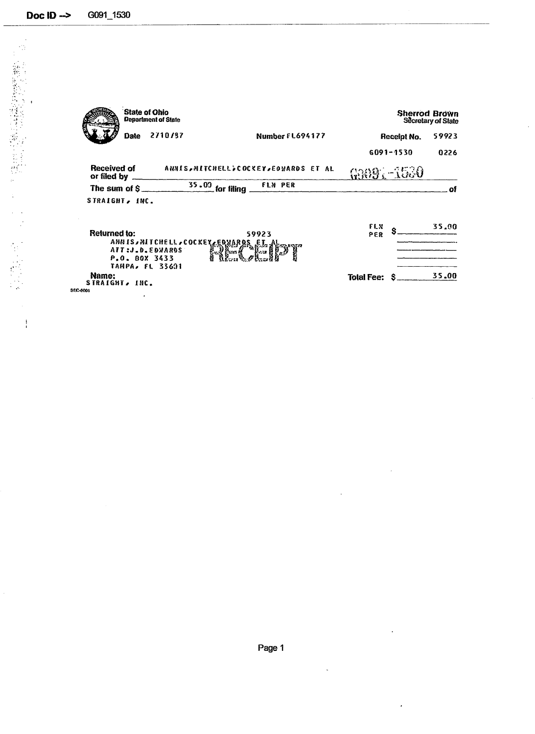G091\_1530 Doc  $ID \rightarrow$ 

 $\ddot{a}$ 

- Stephen Books Stephen Books Stephen Books Stephen Books Stephen Books Stephen Books Stephen Books Stephen Books Stephen Books Stephen Books Stephen Books Stephen Books Stephen Books Stephen Books Stephen Books Stephen

Ť

 $\frac{1}{4}$ 

ğ,

State of Ohio<br>Department of State **Sherrod Brown**<br>Secretary of State Date 2710/37 Number FL694177 **Receipt No.** 59923  $6091 - 1530$ 0226 **Received of** ANNIS, NITCHELL, COCKEY, EDWARDS ET AL G9091-1530 or filed by  $\overline{35.00}$  for filing. FLN PER The sum of  $$$ of STRAIGHT, INC. Returned to:<br>ANNIS, MITCHELL, COCKEY, EDWARDS FLX 35.00 Ŝ 59923 PER န္႔ြန္႔ ATT:J.D.EDWARDS<br>P.O. BOX 3433<br>TAMPA, FL 33601 Name:<br>STRAIGHT, INC. 35.00 Total Fee:  $$$ 

**SEC-6001** 

 $\ddot{\phantom{0}}$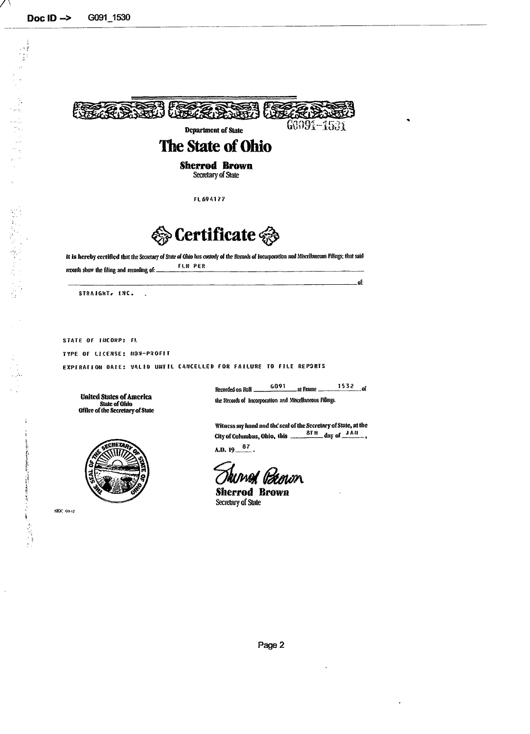(可能な) かいかん かいかん



Secretary of State

**FL6941?7**



**it is** hereby **certified** that the Secretary of State of Ohio has custody- of the Records of incorporation and Miscellaneous Filings; that said FLU PER records show the filing and recording of: \_

| ----<br>__________ |  |
|--------------------|--|

STRAIGHT, INC.  $\ddot{\phantom{a}}$ 

**STATE OF IHCORP: FL**

**TYPE OF UCEMSE: HOS-PSOFIT**

**EXPIRATION BATE: V1L1D UNTIL CANCELLED FOR FAILURE TO FILE REP3RTS**

United States of America State **of Ohio Office of** the Secretary of State



SEC 69-2

G091 **153 2** Recorded on Roll. \_at Frame. .<br>of

(he Records of Incorporation and Miscellaneous Filings.

Witness my hand and the seal of the Secretary of State, at the City of Columbus, Ohio, this  $\frac{8TH}{14}$  day of  $\frac{JAM}{14}$ ,

A.D.  $19 - \frac{87}{3}$ 

kuwed literum

**Sherrod Brown** Secretary of State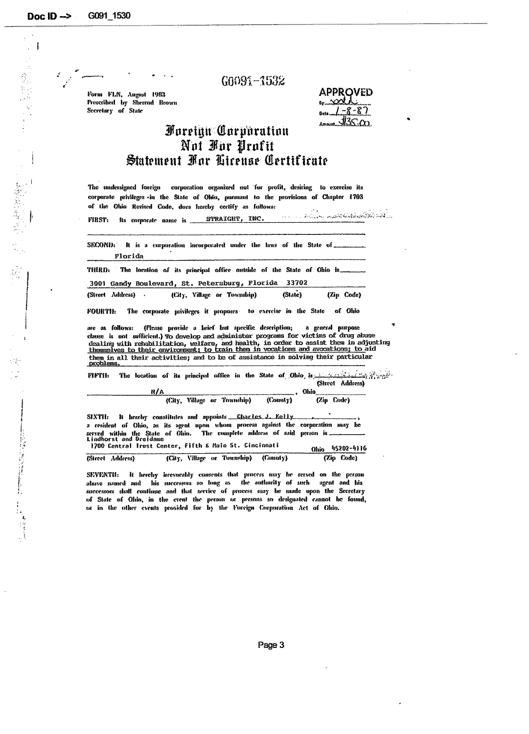$\mathbb{R}^3$ 

 $G0091 - 1532$ 

Form FLN, August 1983 Prescribed by Sherrod Brown Secretary of State

| <b>APPROVED</b>      |
|----------------------|
|                      |
| $l - \delta$<br>Data |
|                      |

## **Foreign Corporation** Not For Profit Statement For License Certificate

The undersigned foreign corporation organized not for profit, desiring to exercise its corporate privileges in the State of Ohio, pursuant to the provisions of Chapter 1703 of the Ohio Revised Code, does hereby certify as follows:

And the mediated collection and in Its corporate name is STRAIGHT, INC.  $\overline{\mathcal{L}}$  . **FIRST:** 

SECOND: It is a corporation incorporated under the laws of the State of ... Florida

THIRD: The location of its principal office outside of the State of Ohio is...

3001 Gandy Boulevard, St. Petersburg, Florida 33702

(Street Address) . (City, Village or Township) (State) (Zip Code)

of Ohio **FOURTII:** The corporate privileges it proposes to exercise in the State

(Please provide a brief but specific description; are as follows: a general purpose clause is not sufficient.) To develop and administer programs for victims of drug abuse dealing with rehabilitation, welfare, and health, in order to assist them in adjusting<br>themselves to their environment; to train them in vocations and avocations; to aid them in all their activities; and to be of assistance in solving their particular problems.

FIFTH: The location of its principal office in the State of Ohio, in the state in the state of the state of the (Street Address)

|              | N/A | <b>Chio</b>                                                                                                     |  |            |  |
|--------------|-----|-----------------------------------------------------------------------------------------------------------------|--|------------|--|
|              |     | (City, Village or Township) (County)                                                                            |  | (Zip Code) |  |
| <b>MAR 5</b> |     | the figure of the contract of the second and the second of the second of the second of the second of the second |  |            |  |

SIXTII: It hereby constitutes and appoints Charles J. Kelly a resident of Ohio, as its agent upon whom process against the corporation may be served within the State of Chio. The complete address of said person is nonorat and prejudne<br>200 Central Irust Center, Fifth & Main St. Cincinnati

|                  | $1100$ contrat trase context tried a note set studiums. |  |                                      | Ahia 45202-4116 |
|------------------|---------------------------------------------------------|--|--------------------------------------|-----------------|
| (Street Address) |                                                         |  | (City, Village or Township) (County) | (Zip Code)      |

SEVENTII: It hereby irrevocably consents that process may be served on the person alarve named and his successurs so long as the authority of such agent and his successors shall continue and that service of process may be made upon the Secretary of State of Ohio, in the event the person or persons so designated cannot be found, or in the other events provided for by the Foreign Corporation Act of Okio.

Page 3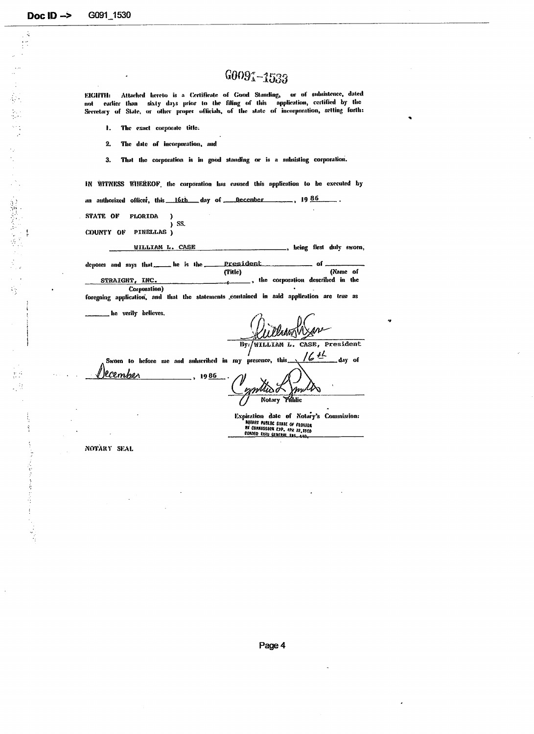$\frac{1}{4}$ 

(1) 解解缺乏学习语言

i).<br>St

医无间隙反应检查 医毒 的过去分词

## $G0091 - 1533$

Attached hereto is a Certificate of Good Standing, or of subsistence, dated EIGHTH: earlier than sixty days prior to the filing of this application, certified by the not Secretary of State, or other proper officials, of the state of incorporation, setting forth:

- $\mathbf{I}$ . The exact corporate title:
- The date of incorporation, and  $2.$
- That the corporation is in good standing or is a subsisting corporation.  $3.$

IN WITNESS WIEREOF, the corporation has caused this application to be executed by  $.19.86$ an authorized officer, this 16th day of December **STATE OF FLORIDA**  $\lambda$ SS. ï PINELLAS) COUNTY OF WILLIAM L. CASE , being first duly sworn,

 $\overline{\phantom{a}}$  he is the  $\overline{\phantom{a}}$ President  $. of$ deposes and says that. (Title) (Name of , the corporation described in the STRAIGHT, INC. Corporation) foregoing application, and that the statements contained in said application are true as

he verily believes.

Vladov By:/WILLIAM L. CASE, President

 $164$ Sworn to hefore me and subscribed in my presence, this day of lcember

1986 mphiso **Notary** Fáblic

Expiration date of Notary's Commission: **ROTARY PUBLIC STATE OF FLORIDA<br>RE CORRISSION EJP. APR 22,1968<br>COROLD IRRU GENERAL TRS. CAD.** 

NOTARY SEAL